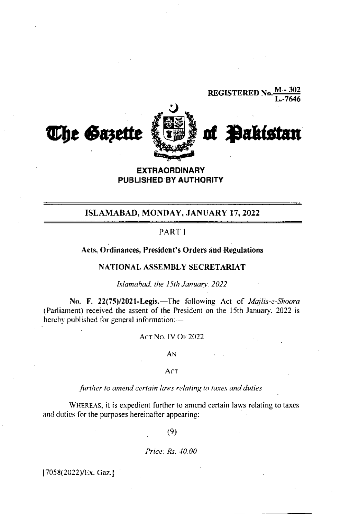

# **EXTRAORDINARY** PUBLISHED BY AUTHORITY

# ISLAMABAD, MONDAY, JANUARY 17, 2022

# PART1

# Acts, Ordinances, President's Orders and Regulations

# NATIONAL ASSEMBLY SECRETARIAT

Islamahad, the 15th January, 2022

No. F. 22(75)/2021-Legis.-The following Act of Majlis-e-Shoora (Parliament) received the assent of the President on the 15th January, 2022 is hereby published for general information:--

# **ACT NO. IV OF 2022**

AN

# Act

### further to amend certain laws relating to taxes and duties

WHEREAS, it is expedient further to amend certain laws relating to taxes and duties for the purposes hereinafter appearing;

 $(9)$ 

Price: Rs. 40.00

[7058(2022)/Ex. Gaz.]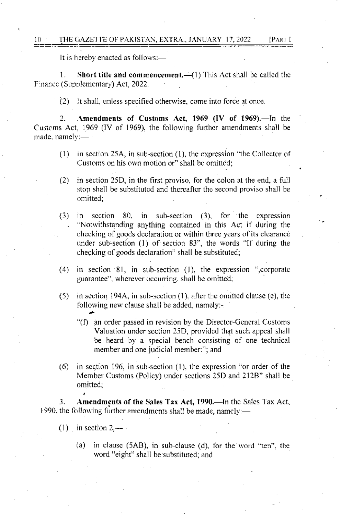It is hereby enacted as follows:-

 $\mathbf{1}$ . Short title and commencement. $-(1)$  This Act shall be called the Finance (Supplementary) Act, 2022.

(2) It shall, unless specified otherwise, come into force at once.

Amendments of Customs Act, 1969 (IV of 1969).—In the 2. Customs Act, 1969 (IV of 1969), the following further amendments shall be made, namely:-

- in section 25A, in sub-section (1), the expression "the Collector of  $(1)$ Customs on his own motion or" shall be omitted;
- $(2)$ in section 25D, in the first proviso, for the colon at the end, a full stop shall be substituted and thereafter the second proviso shall be omitted;
- $(3)$ in section  $80$ , in sub-section  $(3)$ , for the expression "Notwithstanding anything contained in this Act if during the checking of goods declaration or within three years of its clearance under sub-section (1) of section 83", the words "If during the checking of goods declaration" shall be substituted;
- $(4)$ in section 81, in sub-section (1), the expression ",corporate guarantee", wherever occurring, shall be omitted;
- in section 194A, in sub-section (1), after the omitted clause (e), the  $(5)$ following new clause shall be added, namely:-
	- "(f) an order passed in revision by the Director-General Customs Valuation under section 25D, provided that such appeal shall be heard by a special bench consisting of one technical member and one judicial member."; and
- in section 196, in sub-section (1), the expression "or order of the  $(6)$ Member Customs (Policy) under sections 25D and 212B" shall be omitted;

Amendments of the Sales Tax Act, 1990.—In the Sales Tax Act, 3. 1990, the following further amendments shall be made, namely:—

- (1) in section  $2$ ,  $$ 
	- in clause (5AB), in sub-clause (d), for the word "ten", the  $(a)$ word "eight" shall be substituted; and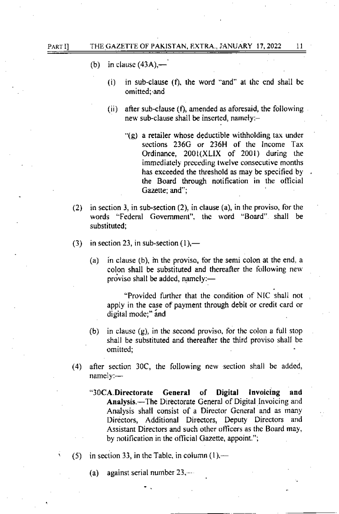in clause  $(43A)$ .  $(b)$ 

> in sub-clause (f), the word "and" at the end shall be  $(i)$ omitted: and

11

- after sub-clause (f), amended as aforesaid, the following  $(ii)$ new sub-clause shall be inserted, namely:-
	- $\Gamma(g)$  a retailer whose deductible withholding tax under sections 236G or 236H of the Income Tax Ordinance, 2001(XLIX of 2001) during the immediately preceding twelve consecutive months has exceeded the threshold as may be specified by the Board through notification in the official Gazette; and";
- in section 3, in sub-section  $(2)$ , in clause  $(a)$ , in the proviso, for the  $(2)$ words "Federal Government", the word "Board" shall be substituted:
- in section 23, in sub-section  $(1)$ ,—  $(3)$ 
	- in clause (b), in the proviso, for the semi colon at the end, a  $(a)$ colon shall be substituted and thereafter the following new proviso shall be added, namely:-

"Provided further that the condition of NIC shall not apply in the case of payment through debit or credit card or digital mode;" and

- in clause  $(g)$ , in the second proviso, for the colon a full stop  $(b)$ shall be substituted and thereafter the third proviso shall be omitted:
- $(4)$ after section 30C, the following new section shall be added, namely:-
	- "30CA.Directorate General of **Digital** Invoicing and **Analysis.—The Directorate General of Digital Invoicing and** Analysis shall consist of a Director General and as many Directors. Additional Directors. Deputy Directors and Assistant Directors and such other officers as the Board may, by notification in the official Gazette, appoint.";
- in section 33, in the Table, in column  $(1)$ .  $(5)$ 
	- against serial number 23,--- $(a)$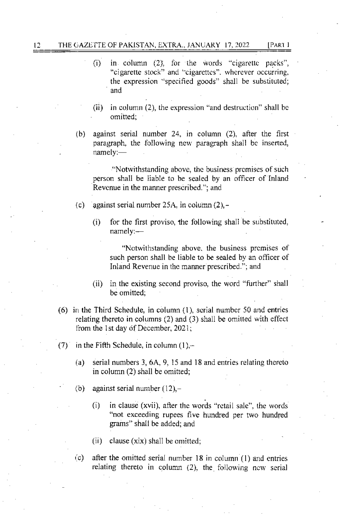# 12 THE GAZETTE OF PAKISTAN, EXTRA., JANUARY 17, 2022 [PART I

- $(i)$  in column  $(2)$ , for the words "cigarette packs", "cigarette stock" and "cigarettes". wherever occurring, the expression "specified goods" shall be substituted; and
- $(ii)$  in column (2), the expression "and destruction" shall be omitted;
- (b) against serial number 24, in column (2), after the first paragraph, the following new paragraph shall be inserted, namely:-

"Notwithstanding above, the business premises of such person shall be liable to be sealed by an officer of Inland Revcnue in the manner prescribed."; and

- (c) against serial number 25A, in column (2),-
	- $(i)$  for the first proviso, the following shall be substituted, namely:-

"Notwithstanding above, the business premises of such person shall be liable to be sealed by an officer of Inland Revenue in thc mamer prescribed."; and

- (ii) in the existing second proviso, the word "further" shall be omitted:
- $(6)$  in the Third Schedule, in column  $(1)$ , scrial number 50 and entries. relating thereto in columns  $(2)$  and  $(3)$  shall be omitted with effect from the 1st day of December,  $2021$ ;
- (7) in the Fifth Schedule, in column  $(1)$ ,-
	- (a) serial numbers 3,6A.9, 15 and 18 and enrries reiating thereto in column (2) shall be omited;
	- (b) against serial number  $(12)$ ,-
		- (i) in clause (xvii), after the words 'rclail sale", the words "not exceeding rupees five hundred per two hundred grams" shall be added; and
		- (ii) clause  $(xix)$  shall be omitted;
	- $\alpha$  after the omitted serial number 18 in column (1) and entries relating thereto in column  $(2)$ , the following ncw serial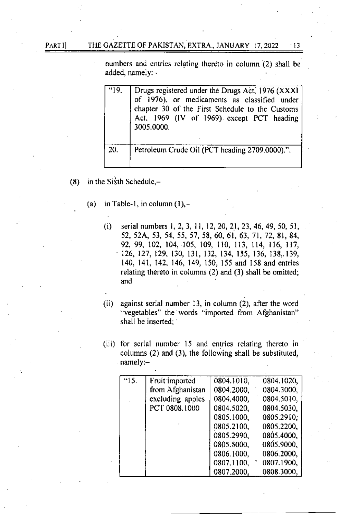#### THE GAZETTE OF PAKISTAN, EXTRA., JANUARY 17, 2022  $\cdot$ 13

numbers and entries relating thereto in column (2) shall be added, namely:-

| "19" | Drugs registered under the Drugs Act, 1976 (XXXI<br>of 1976), or medicaments as classified under<br>chapter 30 of the First Schedule to the Customs<br>Act, 1969 (IV of 1969) except PCT heading<br>3005.0000. |
|------|----------------------------------------------------------------------------------------------------------------------------------------------------------------------------------------------------------------|
| 20.  | Petroleum Crude Oil (PCT heading 2709.0000).".                                                                                                                                                                 |

- in the Sixth Schedule,- $(8)$ 
	- in Table-1, in column  $(1)$ ,- $(a)$ 
		- $(i)$ serial numbers 1, 2, 3, 11, 12, 20, 21, 23, 46, 49, 50, 51, 52, 52A, 53, 54, 55, 57, 58, 60, 61, 63, 71, 72, 81, 84, 92, 99, 102, 104, 105, 109, 110, 113, 114, 116, 117, 126, 127, 129, 130, 131, 132, 134, 135, 136, 138, 139, 140, 141, 142, 146, 149, 150, 155 and 158 and entries relating thereto in columns (2) and (3) shall be omitted; and
		- $(ii)$ against serial number 13, in column (2), after the word "vegetables" the words "imported from Afghanistan" shall be inserted;
		- (iii) for serial number 15 and entries relating thereto in columns (2) and (3), the following shall be substituted, namely:-

| "15. | Fruit imported   | 0804.1010, | 0804.1020, |
|------|------------------|------------|------------|
|      | from Afghanistan | 0804.2000, | 0804.3000, |
|      | excluding apples | 0804.4000, | 0804.5010, |
|      | PCT 0808.1000    | 0804.5020. | 0804.5030, |
|      |                  | 0805.1000, | 0805.2910. |
|      |                  | 0805.2100, | 0805.2200, |
|      |                  | 0805.2990, | 0805.4000, |
|      |                  | 0805.5000, | 0805.9000, |
|      |                  | 0806.1000. | 0806.2000, |
|      |                  | 0807.1100, | 0807.1900, |
|      |                  | 0807.2000, | 0808.3000, |

PART I]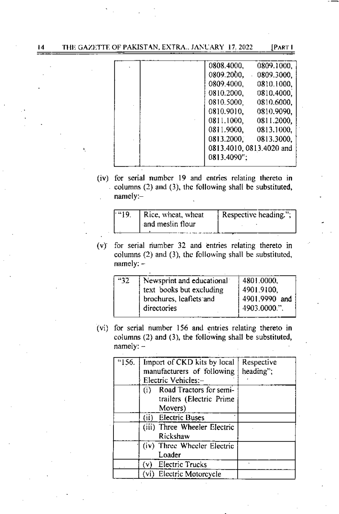| 0808.4000,<br>0809.1000,    |
|-----------------------------|
| 0809.2000.<br>$-0809.3000,$ |
| 0809.4000,<br>0810.1000,    |
| 0810.2000,<br>0810.4000.    |
| 0810.5000;<br>0810.6000,    |
| 0810.9010,<br>0810,9090,    |
| 0811.2000,<br>0811.1000,    |
| 0811.9000,<br>0813.1000,    |
| 0813.2000.<br>0813.3000,    |
| 0813.4010, 0813.4020 and    |
| 0813.4090";                 |
|                             |

(iv) for serial number 19 and entries relating thereto in columns  $(2)$  and  $(3)$ , the following shall be substituted,  $namely:-$ 

| "19. | Rice, wheat, wheat | Respective heading."; |
|------|--------------------|-----------------------|
|      | and meslin flour   |                       |
|      |                    |                       |

(v) for serial number 32 and entries relating thereto in columns (2) and (3), the following shall be substituted,  $namely: -$ 

| - 32 | Newsprint and educational<br>text books but excluding<br>brochures, leaflets and<br>directories | 4801.0000,<br>4901.9100,<br>4901.9990 and<br>4903.0000.". |
|------|-------------------------------------------------------------------------------------------------|-----------------------------------------------------------|
|      |                                                                                                 |                                                           |

(vi) for serial number 156 and entries relating thereto in columns (2) and (3), the following shall be substituted,  $namely: -$ 

| "156. | Import of CKD kits by local<br>manufacturers of following<br>Electric Vehicles:- | Respective<br>heading"; |
|-------|----------------------------------------------------------------------------------|-------------------------|
|       | Road Tractors for semi-<br>(i)<br>trailers (Electric Prime<br>Movers)            |                         |
|       | (ii)<br><b>Electric Buses</b>                                                    |                         |
|       | (iii) Three Wheeler Electric<br>Rickshaw                                         |                         |
|       | (iv) Three Wheeler Electric<br>Loader                                            |                         |
|       | (v) Electric Trucks                                                              |                         |
|       | (vi) Electric Motorcycle                                                         |                         |

 $\overline{14}$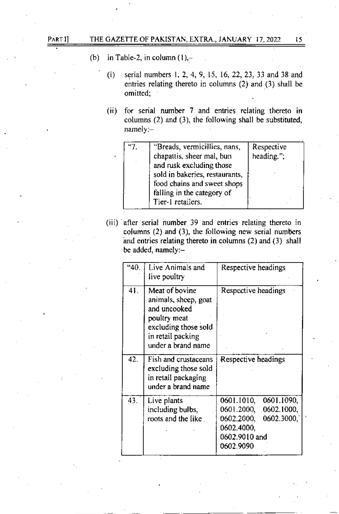- (b) in Table-2, in column  $(1)$ ,-
	- (i) serial numbers 1, 2, 4, 9, 15, 16, 22, 23, 33 and 38 and entries relating thereto in columns (2) and (3) shall be omitted;
	- $(ii)$  for serial number 7 and entries relating thereto in columns (2) and (3), the following shall be substituted, namely:-

| "Breads, vermicillies, nans,   | Respective |
|--------------------------------|------------|
| chapattis, sheer mal, bun      | heading."; |
| and rusk excluding those       |            |
| sold in bakeries, restaurants, |            |
| food chains and sweet shops    |            |
| falling in the category of     |            |
| Tier-1 retailers.              |            |

(iii) after serial number 39 and entries relating thereto in columns  $(2)$  and  $(3)$ , the following new serial numbers and entries relating thereto in columns  $(2)$  and  $(3)$  shall be added, namely:-

| "40. | Live Animals and<br>live poultry                                                                                                          | Respective headings                                                                                                          |  |  |
|------|-------------------------------------------------------------------------------------------------------------------------------------------|------------------------------------------------------------------------------------------------------------------------------|--|--|
| 41.  | Meat of bovine<br>animals, sheep, goat<br>and uncooked<br>poultry meat<br>excluding those sold<br>in retail packing<br>under a brand name | Respective headings                                                                                                          |  |  |
| 42.  | Fish and crustaceans<br>excluding those sold<br>in retail packaging<br>under a brand name                                                 | Respective headings                                                                                                          |  |  |
| 43.  | Live plants<br>including bulbs,<br>roots and the like.                                                                                    | 0601.1090,<br>0601.1010,<br>0602.1000,<br>0601.2000,<br>0602.3000,<br>0602.2000,<br>0602.4000,<br>0602.9010 and<br>0602.9090 |  |  |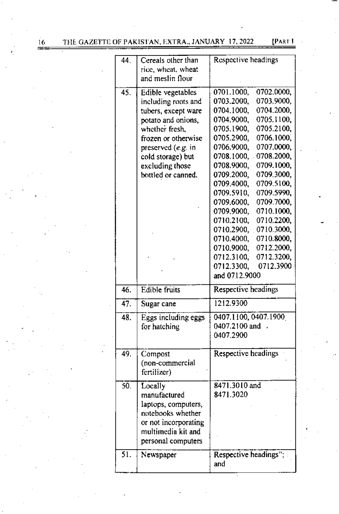[PART I

| 44. | Cereals other than<br>rice, wheat, wheat<br>and meslin flour                                                                                                                                                         | Respective headings                                                                                                                                                                                                                                                                                                                                                                                                                                                                                                                                                                          |  |  |
|-----|----------------------------------------------------------------------------------------------------------------------------------------------------------------------------------------------------------------------|----------------------------------------------------------------------------------------------------------------------------------------------------------------------------------------------------------------------------------------------------------------------------------------------------------------------------------------------------------------------------------------------------------------------------------------------------------------------------------------------------------------------------------------------------------------------------------------------|--|--|
| 45. | Edible vegetables<br>including roots and<br>tubers, except ware<br>potato and onions,<br>whether fresh,<br>frozen or otherwise<br>preserved $(e.g. in$<br>cold storage) but<br>excluding those<br>bottled or canned. | 0701.1000,<br>0702.0000,<br>0703.2000,<br>0703.9000,<br>0704.2000,<br>0704.1000,<br>0705.1100,<br>0704.9000,<br>0705.1900,<br>0705.2100,<br>0705.2900,<br>0706.1000,<br>0706.9000,<br>0707.0000,<br>0708.2000,<br>0708.1000,<br>0708.9000,<br>0709.1000,<br>0709.3000,<br>0709.2000,<br>0709.4000,<br>0709.5100,<br>0709.5910,<br>0709.5990,<br>0709.6000,<br>0709.7000,<br>0710.1000,<br>0709.9000,<br>0710.2200,<br>0710.2100,<br>0710.2900,<br>0710.3000,<br>0710.4000,<br>0710.8000,<br>0710.9000,<br>0712.2000,<br>0712.3100,<br>0712.3200,<br>0712.3900<br>0712.3300,<br>and 0712.9000 |  |  |
| 46. | Edible fruits                                                                                                                                                                                                        | Respective headings                                                                                                                                                                                                                                                                                                                                                                                                                                                                                                                                                                          |  |  |
| 47. | Sugar cane                                                                                                                                                                                                           | 1212.9300                                                                                                                                                                                                                                                                                                                                                                                                                                                                                                                                                                                    |  |  |
| 48. | Eggs including eggs<br>for hatching                                                                                                                                                                                  | 0407.1100, 0407.1900<br>0407.2100 and<br>0407.2900                                                                                                                                                                                                                                                                                                                                                                                                                                                                                                                                           |  |  |
| 49. | Compost<br>(non-commercial<br>fertilizer)                                                                                                                                                                            | <b>Respective headings</b>                                                                                                                                                                                                                                                                                                                                                                                                                                                                                                                                                                   |  |  |
| 50. | Locally<br>manufactured<br>laptops, computers,<br>notebooks whether<br>or not incorporating<br>multimedia kit and<br>personal computers                                                                              | 8471.3010 and<br>8471.3020                                                                                                                                                                                                                                                                                                                                                                                                                                                                                                                                                                   |  |  |
| 51. | Newspaper                                                                                                                                                                                                            | Respective headings";<br>and                                                                                                                                                                                                                                                                                                                                                                                                                                                                                                                                                                 |  |  |

 $\frac{16}{2}$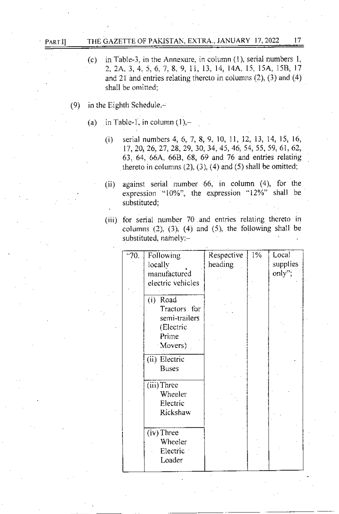#### THE GAZETTE OF PAKISTAN, EXTRA., JANUARY 17, 2022 17 PART II

- $(c)$ in Table-3, in the Annexure, in column  $(1)$ , serial numbers 1, 2, 2A, 3, 4, 5, 6, 7, 8, 9, 11, 13, 14, 14A, 15, 15A, 15B, 17 and 21 and entries relating thereto in columns  $(2)$ ,  $(3)$  and  $(4)$ shall be omitted:
- $(9)$ in the Eighth Schedule,-
	- $(a)$ in Table-1, in column  $(1)$ ,
		- serial numbers 4, 6, 7, 8, 9, 10, 11, 12, 13, 14, 15, 16,  $(i)$ 17, 20, 26, 27, 28, 29, 30, 34, 45, 46, 54, 55, 59, 61, 62, 63, 64, 66A, 66B, 68, 69 and 76 and entries relating thereto in columns  $(2)$ ,  $(3)$ ,  $(4)$  and  $(5)$  shall be omitted;
		- against serial number 66, in column (4), for the  $(ii)$ expression "10%", the expression "12%" shall be substituted;
		- (iii) for serial number 70 and entries relating thereto in columns  $(2)$ ,  $(3)$ ,  $(4)$  and  $(5)$ , the following shall be substituted, namely:-

| $-70.$ | Following         | Respective | 1% | Local    |
|--------|-------------------|------------|----|----------|
|        | locally           | heading    |    | supplies |
|        | manufactured      |            |    | only";   |
|        | electric vehicles |            |    |          |
|        |                   |            |    |          |
|        | (i)<br>Road       |            |    |          |
|        | Tractors for      |            |    |          |
|        | semi-trailers     |            |    |          |
|        | (Electric         |            |    |          |
|        | Prime             |            |    |          |
|        | Movers)           |            |    |          |
|        | (ii) Electric     |            |    |          |
|        | <b>Buses</b>      |            |    |          |
|        | (iii) Three       |            |    |          |
|        | Wheeler           |            |    |          |
|        | Electric          |            |    |          |
|        | Rickshaw          |            |    |          |
|        |                   |            |    |          |
|        | (iv) Three        |            |    |          |
|        | Wheeler           |            |    |          |
|        | Electric          |            |    |          |
|        | Loader            |            |    |          |
|        |                   |            |    |          |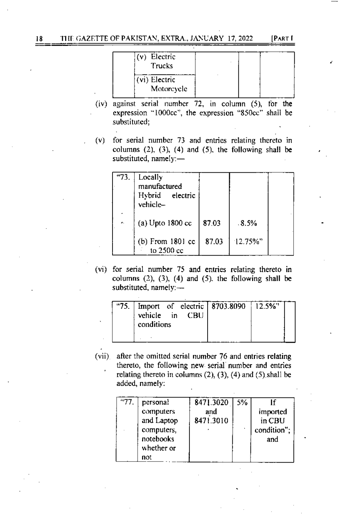**IPART I** 

| (v) Electric<br><b>Trucks</b> |  |
|-------------------------------|--|
| (vi) Electric<br>Motorcycle   |  |

- (iv) against serial number 72, in column  $(5)$ , for the expression "1000cc", the expression "850cc" shall be substituted;
- for serial number 73 and entries relating thereto in  $(v)$ columns  $(2)$ ,  $(3)$ ,  $(4)$  and  $(5)$ , the following shall be substituted, namely:-

| "73. | Locally<br>manufactured<br>Hybrid electric<br>vehicle- |       |             |  |
|------|--------------------------------------------------------|-------|-------------|--|
| ۸.   | (a) Upto $1800 \text{ cc}$                             | 87.03 | .8.5%       |  |
|      | $(b)$ From 1801 cc<br>to $2500$ cc                     | 87.03 | $12.75\%$ " |  |

(vi) for serial number 75 and entries relating thereto in columns  $(2)$ ,  $(3)$ ,  $(4)$  and  $(5)$ , the following shall be substituted, namely:-

| $-75.$ | vehicle in CBU<br>conditions |  | Import of electric   8703.8090   12.5%" |  |
|--------|------------------------------|--|-----------------------------------------|--|
|        |                              |  |                                         |  |

(vii) after the omitted serial number 76 and entries relating thereto, the following new serial number and entries relating thereto in columns  $(2)$ ,  $(3)$ ,  $(4)$  and  $(5)$  shall be added, namely:

| "77. | personal   | 8471.3020 | 15% |             |
|------|------------|-----------|-----|-------------|
|      | computers  | and       |     | imported    |
|      | and Laptop | 8471.3010 |     | in CBU      |
|      | computers, |           |     | condition"; |
|      | notebooks  |           |     | and         |
|      | whether or |           |     |             |
|      | not        |           |     |             |

18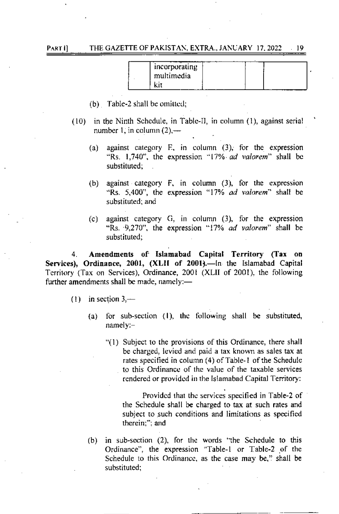# PART II THE GAZETTE OF PAKISTAN, EXTRA.. JANUARY 17, 2022 | 19

| incorporating<br>multimedia |  |  |
|-----------------------------|--|--|
|                             |  |  |

- $(b)$  Table-2 shall be omitted;
- (10) in rhe Ninth Schedule, in Tablc-ll, in column (1), against serial number 1, in column  $(2)$ ,—
	- (a) against category E, in column (3), for the expression "Rs.  $1.740$ ", the expression "17% *ad valorem*" shall be substituted:
	- (b) against category  $F$ , in column  $(3)$ , for the expression "Rs. 5,400", the expression "17% ad valorem" shall be substituted: and
	- (c) against category G, in column (3), for the expression "Rs.  $9.270$ ", the expression "17% ad valorem" shall be substituted:

4. Amendments of Islamabad Capital Territory (Tax on Services), Ordinance, 2001, (XLII of 2001).—In the Islamabad Capital Territory (Tax on Services), Ordinance, 2001 (XLII of 2001), the following further amendments shall be made, namely: $-$ 

- (1) in section  $3$ ,—
	- (a) for sub-section  $(1)$ , the following shall be substituted, namely:
		- "(1) Subject to the provisions of this Ordinance, there shall be charged, lcvicd and paid a tar known as sales tax at rates specified in column (4) of Table-1 of the Schedule to this Ordinance of the value of the taxable services rendered or provided in the Islamabad Capital Territory:

Provided that the services specified in Table-2 of the Schedule shall be charged to tax at such rates and subject ro such conditions and limitations as specificd therein:": and

 $(b)$  in sub-section  $(2)$ , for the words 'the Schedule to this Ordinance", the expression "Table-1 or Table-2 of the Schedule to this Ordinance, as the case may be," shall be substituted;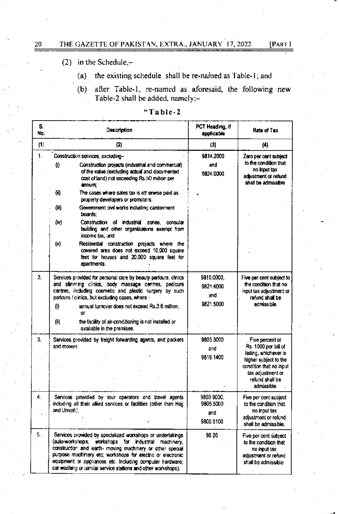[PART I

# (2) in the Schedule, $-$

- the existing schedule shall be re-named as Table-1; and  $(a)$
- after Table-1, re-named as aforesaid, the following new  $(b)$ Table-2 shall be added, namely:-

| S.<br>No.        | Description                                                                                                                                                                                                                                                                                                                                                                                         | PCT Heading, if<br>applicable               | Rate of Tax                                                                                                                                                                |  |
|------------------|-----------------------------------------------------------------------------------------------------------------------------------------------------------------------------------------------------------------------------------------------------------------------------------------------------------------------------------------------------------------------------------------------------|---------------------------------------------|----------------------------------------------------------------------------------------------------------------------------------------------------------------------------|--|
| (1)              | (2)                                                                                                                                                                                                                                                                                                                                                                                                 | (3)                                         | (4)                                                                                                                                                                        |  |
| 1.               | Construction services, excluding-<br>Construction projects (industrial and commercial)<br>O)<br>of the value (excluding actual and documented<br>cost of land) not exceeding Rs.50 million per<br>annum;                                                                                                                                                                                            | 9814.2000<br>and<br>9824.0000               | Zero per cant subject<br>to the condition that<br>no input tax<br>adjustment or refund<br>shall be admissible                                                              |  |
|                  | 何<br>The cases where sales tax is off erwise paid as<br>property developers or promoters.<br>(iii)<br>Government civil works including cantonment<br>boards:<br>Construction of industrial                                                                                                                                                                                                          |                                             |                                                                                                                                                                            |  |
|                  | (iv)<br>zones, consular<br>building and other organizations exempt from<br>income tax; and<br>(v)<br>Residential construction projects where the<br>covered area does not exceed 10,000 square<br>feet for houses and 20,000 square feet for<br>apartments.                                                                                                                                         |                                             |                                                                                                                                                                            |  |
| $\overline{2}$ . | Services provided for personal care by beauty parlours, clinics<br>and slimming clinics, body massage centres, pedicure<br>centres, including cosmetic and plastic surgery by such<br>parlours / clinics, but excluding cases, where -<br>annual turnover does not exceed Rs.3.6 million;<br>O)<br>ΩĽ<br>(ii)<br>the facility of air-conditioning is not installed or<br>available in the premises. | 9810.0000.<br>9821.4000<br>and<br>9821.5000 | Five per cent subject to<br>the condition that no<br>input tax adjustment or<br>refund shall be<br>admissible.                                                             |  |
| 3.               | Services provided by freight forwarding agents, and packers<br>and movers.                                                                                                                                                                                                                                                                                                                          | 9805.3000<br>and<br>9819.1400               | Five percent or<br>Rs. 1000 per bill of<br>lading, whichever is<br>higher subject to the<br>condition that no input<br>tax adjustment or<br>refund shall be<br>admissible. |  |
| 4.               | Services provided by tour operators and travel agents<br>including all their alied services or facilities (other than Hajj<br>and Umrah).                                                                                                                                                                                                                                                           | 9803.9000.<br>9805.5000<br>and<br>9805.5100 | Five per cent subject<br>to the condition that<br>no input tax<br>adjustment or refund<br>shall be admissible.                                                             |  |
| 5.               | Services provided by specialized workshops or undertakings<br>(auto-workshops; workshops for industrial machinery,<br>construction and earth- moving machinery or other special<br>purpose machinery etc; workshops for electric or electronic<br>equipment or appliances etc. Including computer hardware:<br>car washing or similar service stations and other workshops).                        | 98 20                                       | Five per cent subject<br>to the condition that<br>no input tax<br>adjustment or refund<br>shall be admissible.                                                             |  |

# "Table-2

20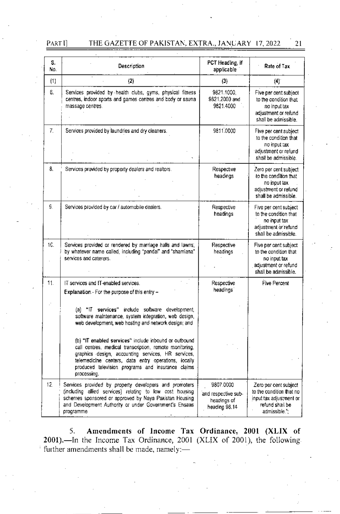# PART I]

#### THE GAZETTE OF PAKISTAN, EXTRA., JANUARY 17, 2022  $21$

| S.<br>No. | Description                                                                                                                                                                                                                                                                                                                                                                                                                                             | PCT Heading, if<br>applicable                                    | Rate of Tax                                                                                                      |
|-----------|---------------------------------------------------------------------------------------------------------------------------------------------------------------------------------------------------------------------------------------------------------------------------------------------------------------------------------------------------------------------------------------------------------------------------------------------------------|------------------------------------------------------------------|------------------------------------------------------------------------------------------------------------------|
| (1)       | (2)                                                                                                                                                                                                                                                                                                                                                                                                                                                     | (3)                                                              | (4)                                                                                                              |
| 6.        | Services provided by health clubs, gyms, physical fitness<br>centres, indoor sports and games centres and body or saunal<br>massage centres.                                                                                                                                                                                                                                                                                                            | 9821.1000.<br>9821.2000 and<br>9821.4000                         | Five per cent subject<br>to the condition that<br>no input tax<br>adjustment or refund<br>shall be admissible.   |
| 7.        | Services provided by laundries and dry cleaners.                                                                                                                                                                                                                                                                                                                                                                                                        | 9811,0000                                                        | Five per cent subject<br>to the condition that<br>no input tax<br>adjustment or refund<br>shall be admissible.   |
| 8.        | Services provided by property dealers and realtors.                                                                                                                                                                                                                                                                                                                                                                                                     | Respective<br>headings                                           | Zero per cent subject<br>to the condition that<br>no input tax<br>adjustment or refund<br>shall be admissible.   |
| S.        | Services provided by car / automobile dealers.                                                                                                                                                                                                                                                                                                                                                                                                          | Respective<br>headings                                           | Five per cent subject<br>to the condition that<br>no input tax<br>adjustment or refund<br>shall be admissible.   |
| 1C.       | Services provided or rendered by marriage halls and lawns,<br>by whatever name called, including "pandal" and "shamiana"<br>services and caterers.                                                                                                                                                                                                                                                                                                      | Respective<br>headings                                           | Five per cent subject<br>to the condition that<br>no input tax<br>adjustment or refund<br>shall be admissible.   |
| 11.       | IT services and IT-enabled services.<br>Explanation.- For the purpose of this entry -                                                                                                                                                                                                                                                                                                                                                                   | Respective<br>headings                                           | Five Percent                                                                                                     |
|           | (a) "If services" include software development,<br>software maintenance, system integration, web design,<br>web development, web hosting and network design; and<br>(b) "IT enabled services" include inbound or outbound<br>call centres, medical transcription, remote monitoring,<br>graphics design, accounting services, HR services,<br>telemedicine centers, data entry operations, locally<br>produced television programs and insurance claims |                                                                  |                                                                                                                  |
| 12.       | processing.<br>Services provided by property developers and promoters<br>(including allied services) relating to low cost housing<br>schemes sponsored or approved by Naya Pakistan Housing<br>and Development Authority or under Government's Ensaas<br>programme                                                                                                                                                                                      | 9807.0000<br>and respective sub-<br>headings of<br>heading 98.14 | Zero per cent subject<br>to the condition that no<br>input tax adjustment or<br>refund shall be<br>admissible."; |
|           |                                                                                                                                                                                                                                                                                                                                                                                                                                                         |                                                                  |                                                                                                                  |

5. Amendments of Income Tax Ordinance, 2001 (XLIX of 2001). The Income Tax Ordinance, 2001 (XLIX of 2001), the following. further amendments shall be made, namely:-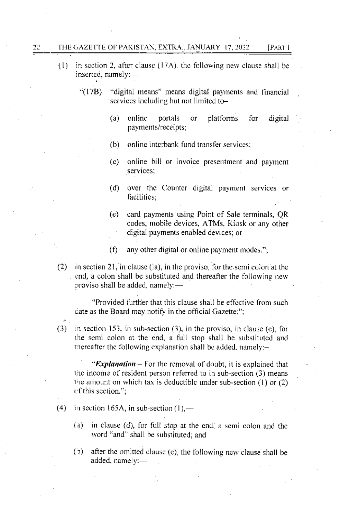#### 22 THE GAZETTE OF PAKISTAN, EXTRA., JANUARY 17, 2022 [PART I

- in section 2, after clause (17A), the following new clause shall be  $(1)$ inserted, namely:-
	- " $(17B)$ . "digital means" means digital payments and financial services including but not limited to
		- online  $(a)$ portals platforms. for digital or payments/receipts;
		- $(b)$ online interbank fund transfer services:
		- $(c)$ online bill or invoice presentment and payment services:
		- over the Counter digital payment services or  $(d)$ facilities:
		- $(e)$ card payments using Point of Sale terminals, QR codes, mobile devices, ATMs, Kiosk or any other digital payments enabled devices; or
		- $(f)$ any other digital or online payment modes.";
- $(2)$  in section 21, in clause (la), in the proviso, for the semi colon at the end, a colon shall be substituted and thereafter the following new proviso shall be added, namely:-

"Provided further that this clause shall be effective from such date as the Board may notify in the official Gazette.":

 $(3)$  in section 153, in sub-section (3), in the proviso, in clause (c), for the semi colon at the end, a full stop shall be substituted and thereafter the following explanation shall be added, namely: $-$ 

"**Explanation** – For the removal of doubt, it is explained that the income of resident person referred to in sub-section (3) means the amount on which tax is deductible under sub-section  $(1)$  or  $(2)$ of this section.":

- $(4)$ in section 165A, in sub-section  $(1)$ ,—
	- (a) in clause (d), for full stop at the end, a semi colon and the word "and" shall be substituted; and
	- $(5)$  after the omitted clause (e), the following new clause shall be added, namely:-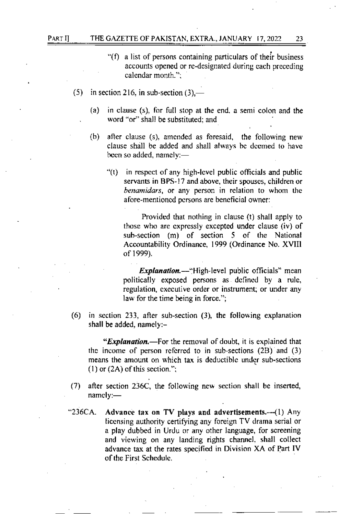#### PART IJ THE GAZETTE OF PAKISTAN, EXTRA., JANUARY 17, 2022 23

- $\degree$ (f) a list of persons containing particulars of their business accounts opened or re-designated during each preceding calendar month.":
- (5) in section 216, in sub-section  $(3)$ ,—
	- (a) in clause  $(s)$ , for full stop at the end, a semi colon and the word "or" shall be substituted; and
	- (b) after clause (s), amended as foresaid, the following new clause shall be addcd and shall always bc dccmed to havc been so added, namely:-
		- $''(t)$  in respect of any high-level public officials and public servants in BPS-17 and above, their spouscs, children or benamidars, or any person in relation to whom the afore-mentioned persons are beneficial owner:

Provided that nothing in clause (t) shall apply to those who are cxprcssly excepted under clause (iv) of sub-section (m) of section 5 of the National Accountability Ordinance, 1999 (Ordinance No. XVIII of 1999).

Explanation.-"High-level public officials" mean politically exposed persons as defined by a rule, regulation, executive order or instrument; or under any law for the time being in force.";

 $(6)$  in section 233, after sub-section  $(3)$ , the following explanation shall be added, namely:-

"**Explanation.**—For the removal of doubt, it is explained that the income of person referred to in sub-sections  $(2B)$  and  $(3)$ means the amount on which tax is deductiblc undcr sub-sections (1) or  $(2A)$  of this section.";

- (7) after section  $236C$ , the following new section shall be inserted, namely:-
- "236CA. Advance tax on TV plays and advertisements.---(1) Any licensing authority certifying any foreign TV drama serial or a play dubbed in Urdu or any other language, for screening and viewing on any landing rights channel, shall collect advance tax at the rates specified in Division XA of Part IV ofthe First Schedulc.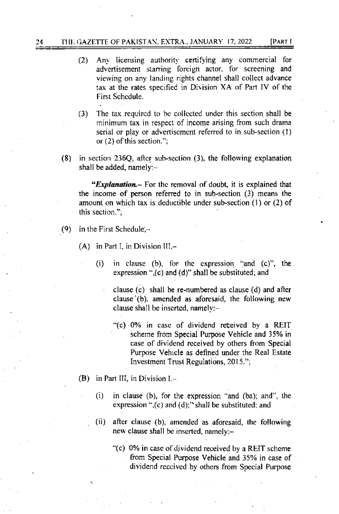#### [PART I 24 THE GAZETTE OF PAKISTAN, EXTRA., JANUARY 17, 2022

- (2) Any licensing authority certifying any commercial for advertisement starring foreign actor, for screening and viewing on any landing rights channel shall collect advance tax at the rates specified in Division XA of Part IV of the First Schedule.
- The tax required to be collected under this section shall be  $(3)$ minimum tax in respect of income arising from such drama serial or play or advertisement referred to in sub-section (1) or  $(2)$  of this section.";
- $(8)$  in section 236Q, after sub-section  $(3)$ , the following explanation shall be added, namely:-

"Explanation.- For the removal of doubt, it is explained that the income of person referred to in sub-section (3) means the amount on which tax is deductible under sub-section (1) or (2) of this section.":

- (9) in the First Schedule, $-$ 
	- $(A)$  in Part I, in Division III,
		- in clause (b), for the expression "and (c)", the  $(i)$ expression ",(c) and (d)" shall be substituted; and

clause  $(c)$  shall be re-numbered as clause  $(d)$  and after clause (b), amended as aforesaid, the following new clause shall be inserted, namely: $-$ 

- "(c) 0% in case of dividend received by a REIT scheme from Special Purpose Vehicle and 35% in case of dividend received by others from Special Purpose Vehicle as defined under the Real Estate Investment Trust Regulations, 2015.";
- (B) in Part III, in Division  $I -$ 
	- $(i)$ in clause (b), for the expression "and (ba); and", the expression " $($ c $)$  and  $(d)$ ; "shall be substituted: and
	- $(ii)$ after clause (b), amended as aforesaid, the following new clause shall be inserted, namely:-
		- "(c) 0% in case of dividend received by a REIT scheme from Special Purpose Vehicle and 35% in case of dividend received by others from Special Purpose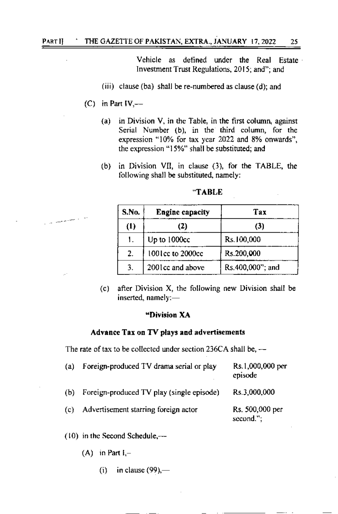# PART I] THE GAZETTE OF PAKISTAN, EXTRA., JANUARY 17, 2022 25

Vehicle as defined under the Real Estate Investment Trust Regulations, 2015; and", and

- (iii) clause (ba) shall be re-numbered as clause (d); and
- $(C)$  in Part IV,---

والسهوسيان

- (a) in Division V, in the Table, in the first column, against Serial Number (b), in the third column, for the expression "10% for tax year 2022 and 8% onwards", the expression "15%" shall be substituted; and
- (b) in Division Vll, in clause (3), for the TABLE, the following shall be substituted, namely:

| <b>S.No.</b> | <b>Engine capacity</b> | Tax              |  |
|--------------|------------------------|------------------|--|
| (1)<br>(2)   |                        | (3)              |  |
| 1.           | Up to 1000cc           | Rs.100,000       |  |
| 2.           | 1001cc to 2000cc       | Rs.200,000       |  |
| 3.           | 2001cc and above       | Rs.400,000"; and |  |

 $(c)$  after Division X, the following new Division shall be inserted, namely:-

### 'Division XA

### Advance Tax on TV plays and advertisements

The rate of tax to be collected under section 236CA shall be,  $-$ 

| (a) | Foreign-produced TV drama serial or play  | Rs.1,000,000 per<br>episode     |
|-----|-------------------------------------------|---------------------------------|
| (b) | Foreign-produced TV play (single episode) | Rs.3,000,000                    |
| (c) | Advertisement starring foreign actor      | Rs. 500,000 per<br>$second."$ ; |

 $(10)$  in the Second Schedule, $-$ 

 $(A)$  in Part  $I, -$ 

(i) in clause  $(99)$ ,—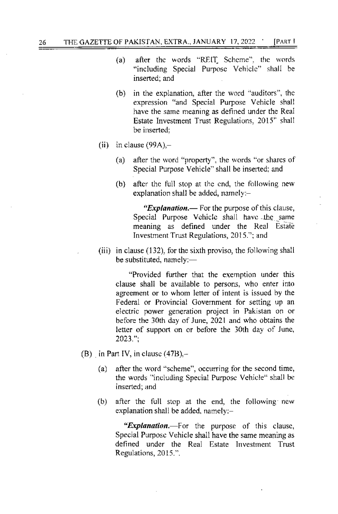- after the words "REIT Scheme", the words  $(a)$ "including Special Purpose Vehicle" shall be inserted; and
- in the explanation, after the word "auditors", the  $(b)$ expression "and Special Purpose Vehicle shall have the same meaning as defined under the Real Estate Investment Trust Regulations, 2015" shall be inserted:
- (ii) in clause  $(99A)$ ,
	- after the word "property", the words "or shares of  $(a)$ Special Purpose Vehicle" shall be inserted: and
	- (b) after the full stop at the end, the following new explanation shall be added, namely:-

"Explanation.— For the purpose of this clause, Special Purpose Vehicle shall have the same meaning as defined under the Real Estate Investment Trust Regulations, 2015."; and

(iii) in clause (132), for the sixth proviso, the following shall be substituted, namely:-

"Provided further that the exemption under this clause shall be available to persons, who enter into agreement or to whom letter of intent is issued by the Federal or Provincial Government for setting up an electric power generation project in Pakistan on or before the 30th day of June, 2021 and who obtains the letter of support on or before the 30th day of June, 2023.":

- (B) in Part IV, in clause  $(47B)$ .
	- $(a)$ after the word "scheme", occurring for the second time, the words "including Special Purpose Vehicle" shall be inserted; and
	- after the full stop at the end, the following new  $(b)$ explanation shall be added, namely:-

"*Explanation*.—For the purpose of this clause, Special Purpose Vehicle shall have the same meaning as defined under the Real Estate Investment Trust Regulations, 2015.".

26